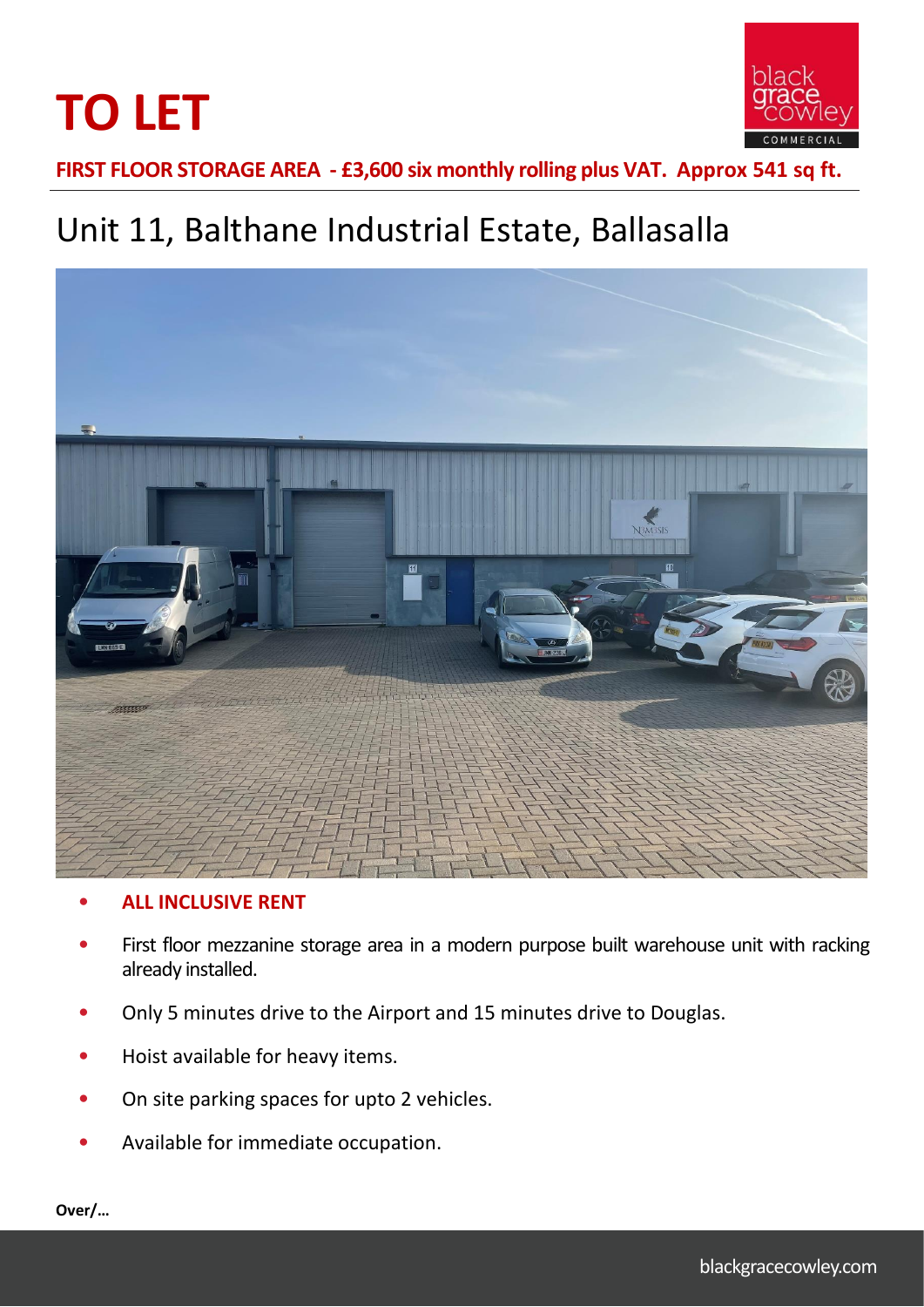



**FIRST FLOOR STORAGE AREA - £3,600 six monthly rolling plus VAT. Approx 541 sq ft.**

# Unit 11, Balthane Industrial Estate, Ballasalla



# • **ALL INCLUSIVE RENT**

- First floor mezzanine storage area in a modern purpose built warehouse unit with racking already installed.
- Only 5 minutes drive to the Airport and 15 minutes drive to Douglas.
- Hoist available for heavy items.
- On site parking spaces for upto 2 vehicles.
- Available for immediate occupation.